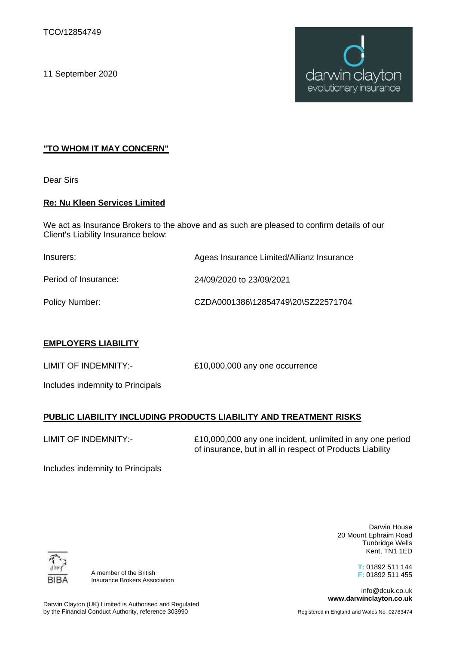11 September 2020



# **"TO WHOM IT MAY CONCERN"**

Dear Sirs

## **Re: Nu Kleen Services Limited**

We act as Insurance Brokers to the above and as such are pleased to confirm details of our Client's Liability Insurance below:

| Insurers:            | Ageas Insurance Limited/Allianz Insurance |
|----------------------|-------------------------------------------|
| Period of Insurance: | 24/09/2020 to 23/09/2021                  |
| Policy Number:       | CZDA0001386\12854749\20\SZ22571704        |

## **EMPLOYERS LIABILITY**

LIMIT OF INDEMNITY:- £10,000,000 any one occurrence

Includes indemnity to Principals

# **PUBLIC LIABILITY INCLUDING PRODUCTS LIABILITY AND TREATMENT RISKS**

LIMIT OF INDEMNITY:-

£10,000,000 any one incident, unlimited in any one period of insurance, but in all in respect of Products Liability

Includes indemnity to Principals

BIB,

A member of the British Insurance Brokers Association

Darwin House 20 Mount Ephraim Road Tunbridge Wells Kent, TN1 1ED

> **T:** 01892 511 144 **F:** 01892 511 455

info@dcuk.co.uk **www.darwinclayton.co.uk**